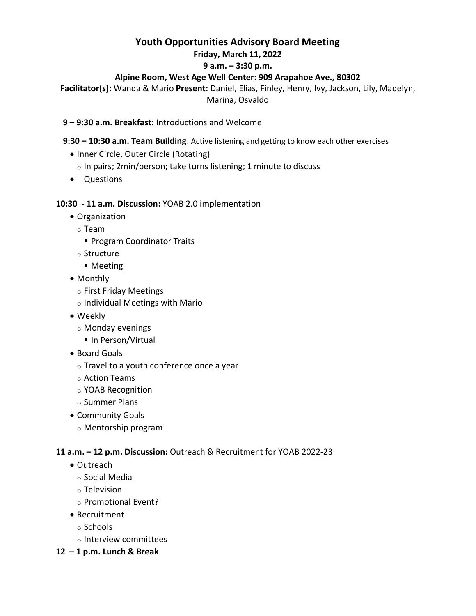# **Youth Opportunities Advisory Board Meeting**

#### **Friday, March 11, 2022**

## **9 a.m. – 3:30 p.m.**

# **Alpine Room, West Age Well Center: 909 Arapahoe Ave., 80302**

**Facilitator(s):** Wanda & Mario **Present:** Daniel, Elias, Finley, Henry, Ivy, Jackson, Lily, Madelyn, Marina, Osvaldo

## **9 – 9:30 a.m. Breakfast:** Introductions and Welcome

#### **9:30 – 10:30 a.m. Team Building**: Active listening and getting to know each other exercises

- Inner Circle, Outer Circle (Rotating)
- o In pairs; 2min/person; take turns listening; 1 minute to discuss
- Questions

## **10:30 - 11 a.m. Discussion:** YOAB 2.0 implementation

- Organization
	- o Team
		- **Program Coordinator Traits**
	- o Structure
		- Meeting
- Monthly
	- o First Friday Meetings
	- o Individual Meetings with Mario
- Weekly
	- o Monday evenings
		- In Person/Virtual
- Board Goals
	- $\circ$  Travel to a youth conference once a year
	- o Action Teams
	- o YOAB Recognition
	- o Summer Plans
- Community Goals
	- o Mentorship program

#### **11 a.m. – 12 p.m. Discussion:** Outreach & Recruitment for YOAB 2022-23

- Outreach
	- o Social Media
	- o Television
	- o Promotional Event?
- Recruitment
	- o Schools
	- o Interview committees
- **12 – 1 p.m. Lunch & Break**